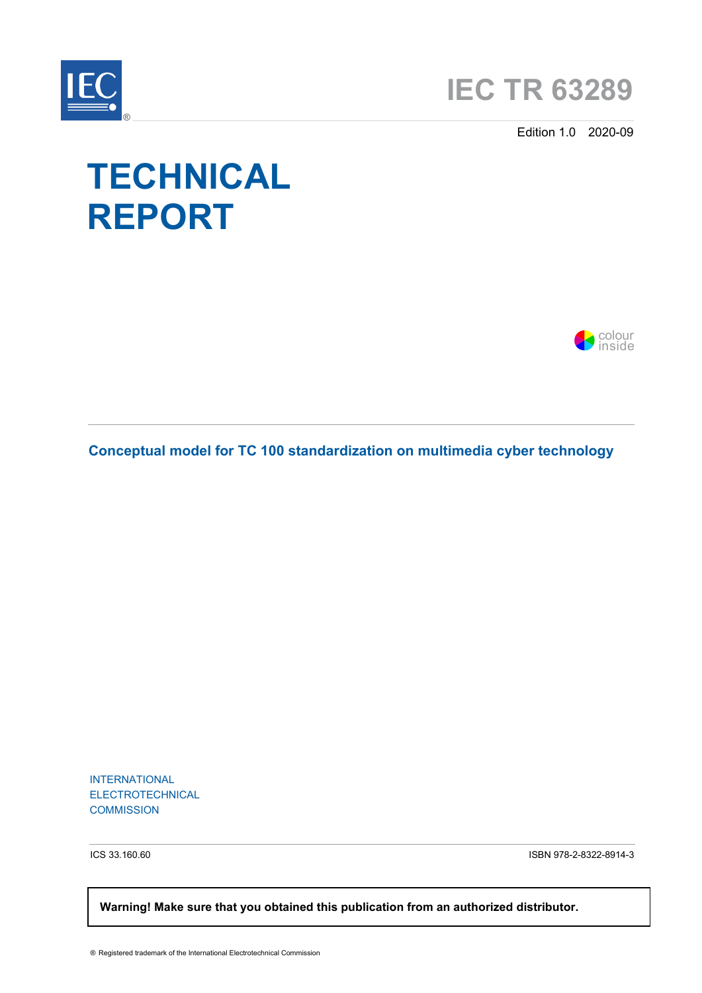



Edition 1.0 2020-09

# **TECHNICAL REPORT**



**Conceptual model for TC 100 standardization on multimedia cyber technology**

INTERNATIONAL ELECTROTECHNICAL **COMMISSION** 

ICS 33.160.60 ISBN 978-2-8322-8914-3

 **Warning! Make sure that you obtained this publication from an authorized distributor.**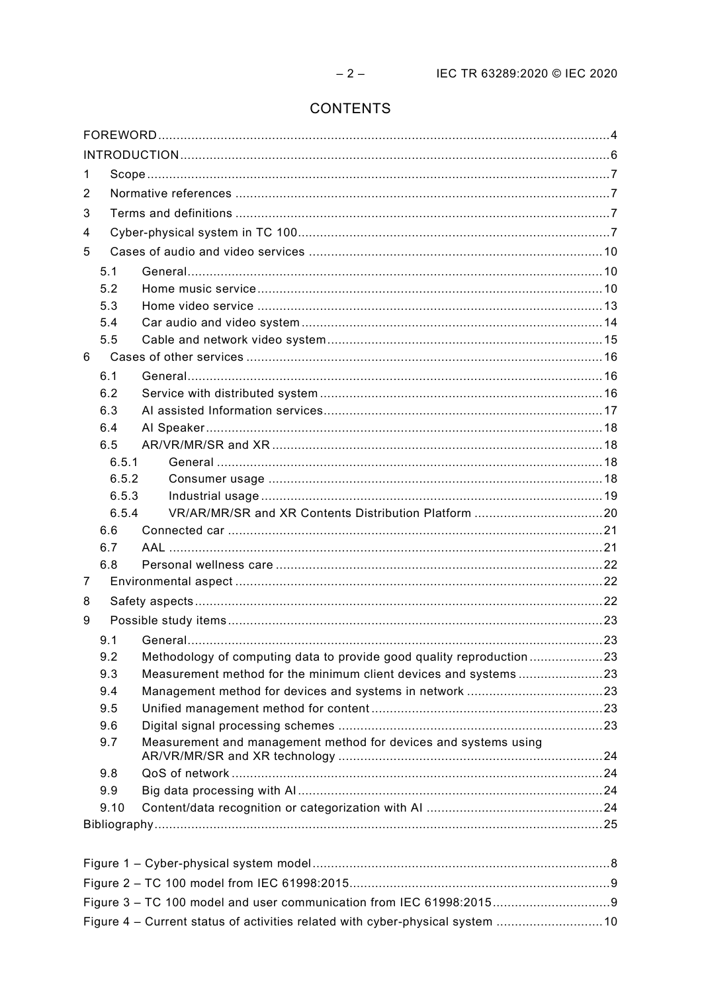# **CONTENTS**

| 1 |                                                                     |                                                                      |  |  |  |  |
|---|---------------------------------------------------------------------|----------------------------------------------------------------------|--|--|--|--|
| 2 |                                                                     |                                                                      |  |  |  |  |
| 3 |                                                                     |                                                                      |  |  |  |  |
| 4 |                                                                     |                                                                      |  |  |  |  |
| 5 |                                                                     |                                                                      |  |  |  |  |
|   | 5.1                                                                 |                                                                      |  |  |  |  |
|   | 5.2                                                                 |                                                                      |  |  |  |  |
|   | 5.3                                                                 |                                                                      |  |  |  |  |
|   | 5.4                                                                 |                                                                      |  |  |  |  |
|   | 5.5                                                                 |                                                                      |  |  |  |  |
| 6 |                                                                     |                                                                      |  |  |  |  |
|   | 6.1                                                                 |                                                                      |  |  |  |  |
|   | 6.2                                                                 |                                                                      |  |  |  |  |
|   | 6.3                                                                 |                                                                      |  |  |  |  |
|   | 6.4                                                                 |                                                                      |  |  |  |  |
|   | 6.5                                                                 |                                                                      |  |  |  |  |
|   | 6.5.1                                                               |                                                                      |  |  |  |  |
|   | 6.5.2                                                               |                                                                      |  |  |  |  |
|   | 6.5.3                                                               |                                                                      |  |  |  |  |
|   | 6.5.4                                                               |                                                                      |  |  |  |  |
|   | 6.6                                                                 |                                                                      |  |  |  |  |
|   | 6.7                                                                 |                                                                      |  |  |  |  |
|   | 6.8                                                                 |                                                                      |  |  |  |  |
| 7 |                                                                     |                                                                      |  |  |  |  |
| 8 |                                                                     |                                                                      |  |  |  |  |
| 9 |                                                                     |                                                                      |  |  |  |  |
|   | 9.1                                                                 |                                                                      |  |  |  |  |
|   | 9.2                                                                 | Methodology of computing data to provide good quality reproduction23 |  |  |  |  |
|   | 9.3                                                                 | Measurement method for the minimum client devices and systems23      |  |  |  |  |
|   | 9.4                                                                 |                                                                      |  |  |  |  |
|   | 9.5                                                                 |                                                                      |  |  |  |  |
|   | 9.6                                                                 |                                                                      |  |  |  |  |
|   | 9.7                                                                 | Measurement and management method for devices and systems using      |  |  |  |  |
|   | 9.8                                                                 |                                                                      |  |  |  |  |
|   | 9.9                                                                 |                                                                      |  |  |  |  |
|   | 9.10                                                                |                                                                      |  |  |  |  |
|   |                                                                     |                                                                      |  |  |  |  |
|   |                                                                     |                                                                      |  |  |  |  |
|   |                                                                     |                                                                      |  |  |  |  |
|   | Figure 3 - TC 100 model and user communication from IEC 61998:20159 |                                                                      |  |  |  |  |

Figure 4 - Current status of activities related with cyber-physical system ...................................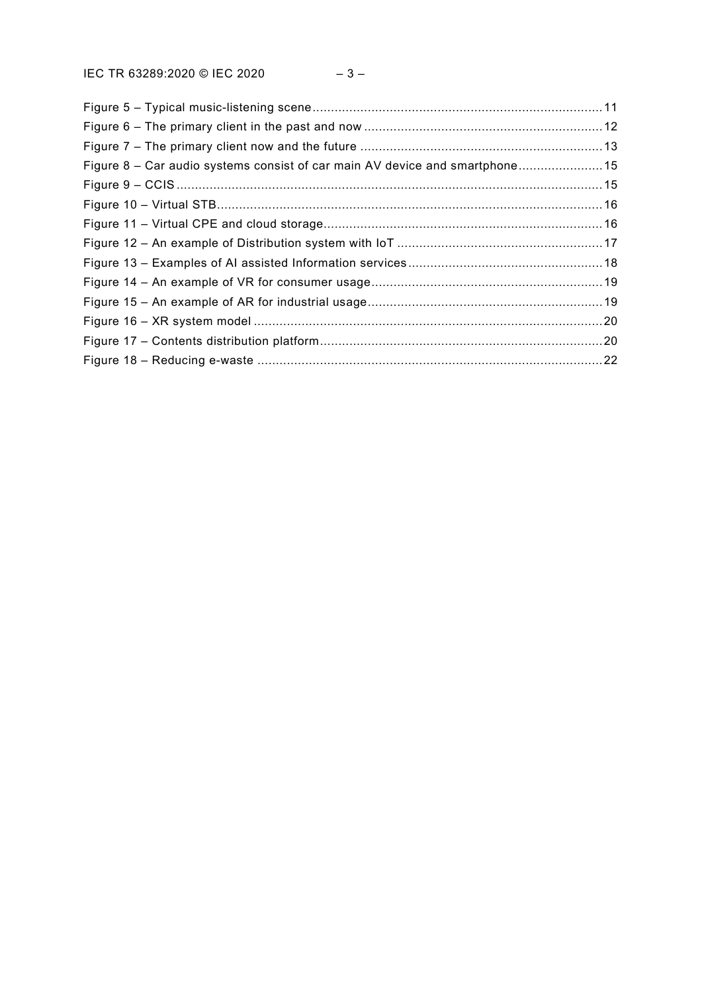| Figure 8 – Car audio systems consist of car main AV device and smartphone 15 |  |
|------------------------------------------------------------------------------|--|
|                                                                              |  |
|                                                                              |  |
|                                                                              |  |
|                                                                              |  |
|                                                                              |  |
|                                                                              |  |
|                                                                              |  |
|                                                                              |  |
|                                                                              |  |
|                                                                              |  |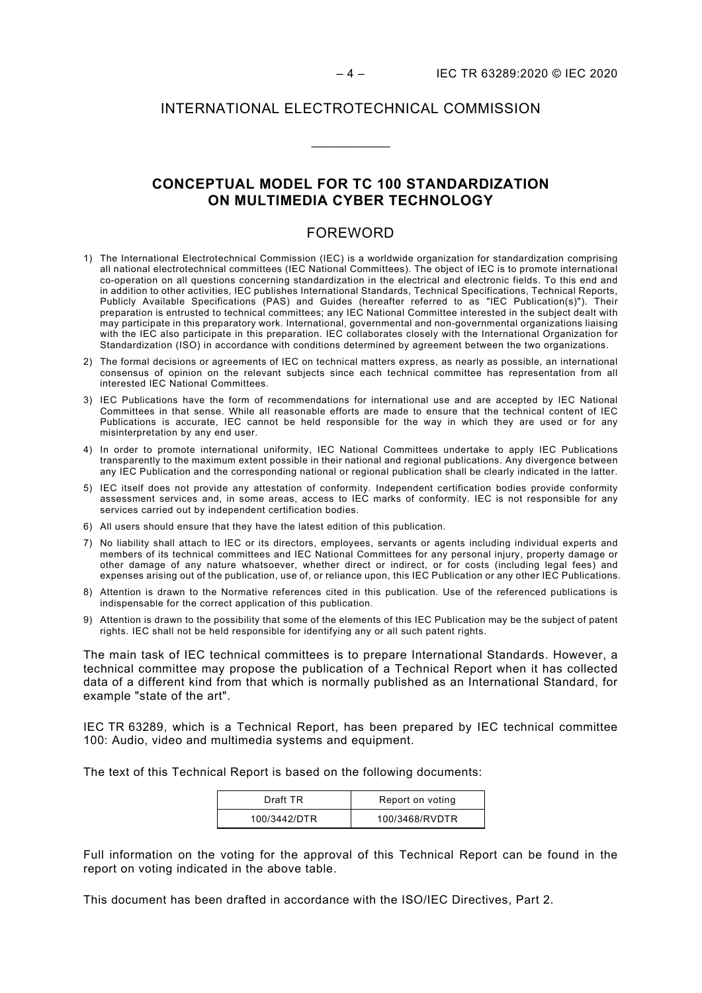#### INTERNATIONAL ELECTROTECHNICAL COMMISSION

\_\_\_\_\_\_\_\_\_\_\_\_

## **CONCEPTUAL MODEL FOR TC 100 STANDARDIZATION ON MULTIMEDIA CYBER TECHNOLOGY**

### FOREWORD

- <span id="page-3-0"></span>1) The International Electrotechnical Commission (IEC) is a worldwide organization for standardization comprising all national electrotechnical committees (IEC National Committees). The object of IEC is to promote international co-operation on all questions concerning standardization in the electrical and electronic fields. To this end and in addition to other activities, IEC publishes International Standards, Technical Specifications, Technical Reports, Publicly Available Specifications (PAS) and Guides (hereafter referred to as "IEC Publication(s)"). Their preparation is entrusted to technical committees; any IEC National Committee interested in the subject dealt with may participate in this preparatory work. International, governmental and non-governmental organizations liaising with the IEC also participate in this preparation. IEC collaborates closely with the International Organization for Standardization (ISO) in accordance with conditions determined by agreement between the two organizations.
- 2) The formal decisions or agreements of IEC on technical matters express, as nearly as possible, an international consensus of opinion on the relevant subjects since each technical committee has representation from all interested IEC National Committees.
- 3) IEC Publications have the form of recommendations for international use and are accepted by IEC National Committees in that sense. While all reasonable efforts are made to ensure that the technical content of IEC Publications is accurate, IEC cannot be held responsible for the way in which they are used or for any misinterpretation by any end user.
- 4) In order to promote international uniformity, IEC National Committees undertake to apply IEC Publications transparently to the maximum extent possible in their national and regional publications. Any divergence between any IEC Publication and the corresponding national or regional publication shall be clearly indicated in the latter.
- 5) IEC itself does not provide any attestation of conformity. Independent certification bodies provide conformity assessment services and, in some areas, access to IEC marks of conformity. IEC is not responsible for any services carried out by independent certification bodies.
- 6) All users should ensure that they have the latest edition of this publication.
- 7) No liability shall attach to IEC or its directors, employees, servants or agents including individual experts and members of its technical committees and IEC National Committees for any personal injury, property damage or other damage of any nature whatsoever, whether direct or indirect, or for costs (including legal fees) and expenses arising out of the publication, use of, or reliance upon, this IEC Publication or any other IEC Publications.
- 8) Attention is drawn to the Normative references cited in this publication. Use of the referenced publications is indispensable for the correct application of this publication.
- 9) Attention is drawn to the possibility that some of the elements of this IEC Publication may be the subject of patent rights. IEC shall not be held responsible for identifying any or all such patent rights.

The main task of IEC technical committees is to prepare International Standards. However, a technical committee may propose the publication of a Technical Report when it has collected data of a different kind from that which is normally published as an International Standard, for example "state of the art".

IEC TR 63289, which is a Technical Report, has been prepared by IEC technical committee 100: Audio, video and multimedia systems and equipment.

The text of this Technical Report is based on the following documents:

| Draft TR     | Report on voting |
|--------------|------------------|
| 100/3442/DTR | 100/3468/RVDTR   |

Full information on the voting for the approval of this Technical Report can be found in the report on voting indicated in the above table.

This document has been drafted in accordance with the ISO/IEC Directives, Part 2.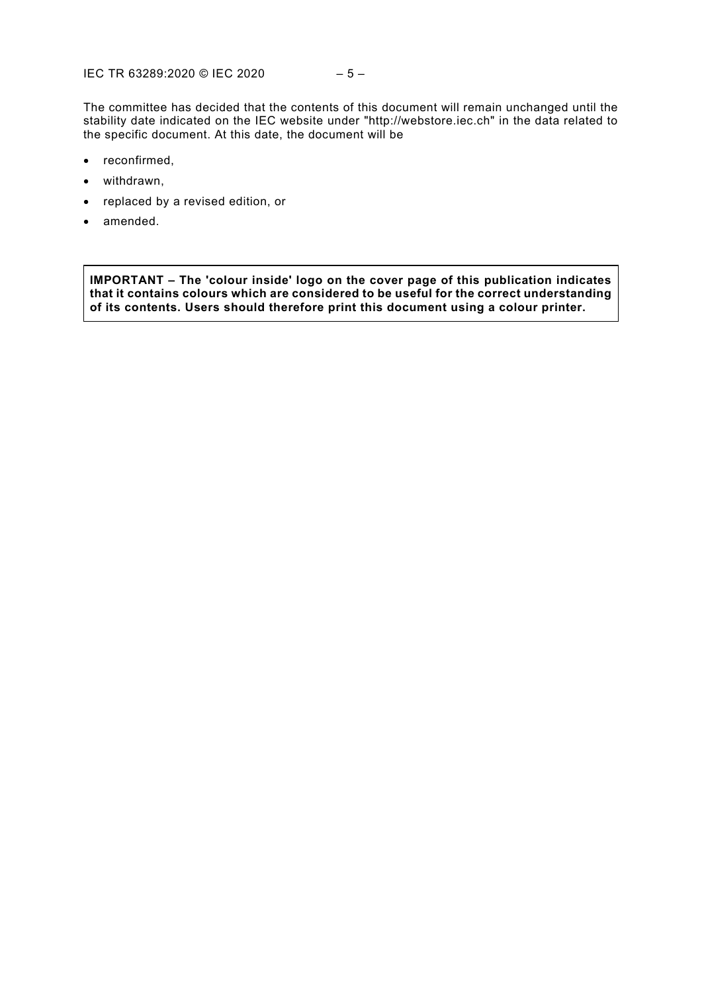The committee has decided that the contents of this document will remain unchanged until the stability date indicated on the IEC website under "http://webstore.iec.ch" in the data related to the specific document. At this date, the document will be

- reconfirmed,
- withdrawn,
- replaced by a revised edition, or
- amended.

**IMPORTANT – The 'colour inside' logo on the cover page of this publication indicates that it contains colours which are considered to be useful for the correct understanding of its contents. Users should therefore print this document using a colour printer.**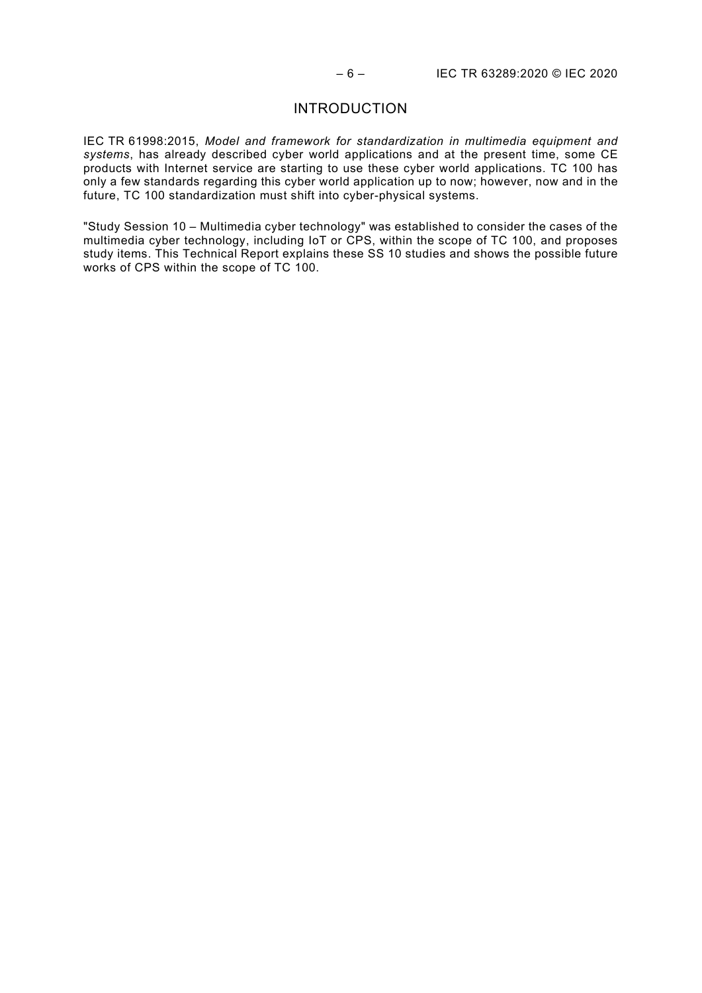#### INTRODUCTION

<span id="page-5-0"></span>IEC TR 61998:2015, *Model and framework for standardization in multimedia equipment and systems*, has already described cyber world applications and at the present time, some CE products with Internet service are starting to use these cyber world applications. TC 100 has only a few standards regarding this cyber world application up to now; however, now and in the future, TC 100 standardization must shift into cyber-physical systems.

"Study Session 10 – Multimedia cyber technology" was established to consider the cases of the multimedia cyber technology, including IoT or CPS, within the scope of TC 100, and proposes study items. This Technical Report explains these SS 10 studies and shows the possible future works of CPS within the scope of TC 100.